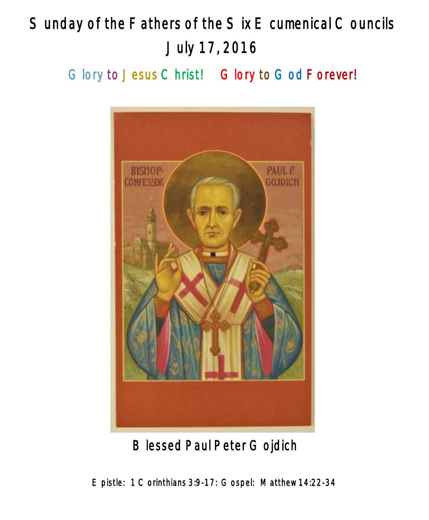# Sunday of the Fathers of the Six E cumenical Councils July 17, 2016

Glory to Jesus Christ! Glory to God Forever!



Blessed Paul Peter Gojdich

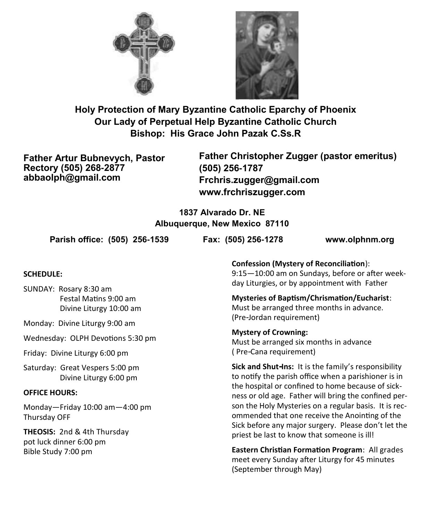



**Holy Protection of Mary Byzantine Catholic Eparchy of Phoenix Our Lady of Perpetual Help Byzantine Catholic Church Bishop: His Grace John Pazak C.Ss.R**

**Father Artur Bubnevych, Pastor Rectory (505) 268-2877 abbaolph@gmail.com**

**Father Christopher Zugger (pastor emeritus) (505) 256-1787 Frchris.zugger@gmail.com www.frchriszugger.com** 

**1837 Alvarado Dr. NE Albuquerque, New Mexico 87110**

**Parish office: (505) 256-1539 Fax: (505) 256-1278 www.olphnm.org**

#### **SCHEDULE:**

SUNDAY: Rosary 8:30 am Festal Matins 9:00 am Divine Liturgy 10:00 am

Monday: Divine Liturgy 9:00 am

Wednesday: OLPH Devotions 5:30 pm

Friday: Divine Liturgy 6:00 pm

Saturday: Great Vespers 5:00 pm Divine Liturgy 6:00 pm

#### **OFFICE HOURS:**

Monday—Friday 10:00 am—4:00 pm Thursday OFF

**THEOSIS:** 2nd & 4th Thursday pot luck dinner 6:00 pm Bible Study 7:00 pm

**Confession (Mystery of Reconciliation**): 9:15—10:00 am on Sundays, before or after weekday Liturgies, or by appointment with Father

**Mysteries of Baptism/Chrismation/Eucharist**: Must be arranged three months in advance. (Pre-Jordan requirement)

**Mystery of Crowning:**  Must be arranged six months in advance ( Pre-Cana requirement)

**Sick and Shut-Ins:** It is the family's responsibility to notify the parish office when a parishioner is in the hospital or confined to home because of sickness or old age. Father will bring the confined person the Holy Mysteries on a regular basis. It is recommended that one receive the Anointing of the Sick before any major surgery. Please don't let the priest be last to know that someone is ill!

**Eastern Christian Formation Program**: All grades meet every Sunday after Liturgy for 45 minutes (September through May)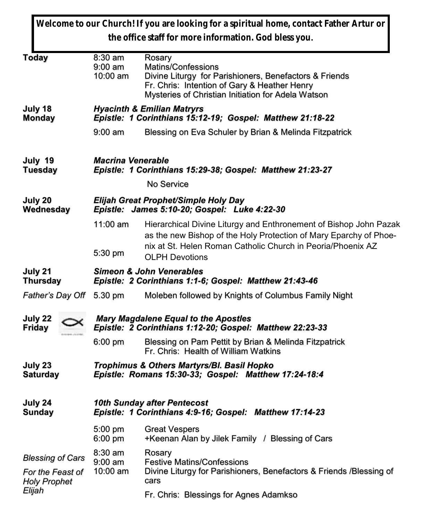|                                                                    |                                                                                                         | Welcome to our Church! If you are looking for a spiritual home, contact Father Artur or<br>the office staff for more information. God bless you.                                                                               |  |  |  |
|--------------------------------------------------------------------|---------------------------------------------------------------------------------------------------------|--------------------------------------------------------------------------------------------------------------------------------------------------------------------------------------------------------------------------------|--|--|--|
| <b>Today</b>                                                       | 8:30 am<br>$9:00$ am<br>10:00 am                                                                        | Rosary<br>Matins/Confessions<br>Divine Liturgy for Parishioners, Benefactors & Friends<br>Fr. Chris: Intention of Gary & Heather Henry<br>Mysteries of Christian Initiation for Adela Watson                                   |  |  |  |
| July 18<br><b>Monday</b>                                           | <b>Hyacinth &amp; Emilian Matryrs</b><br>Epistle: 1 Corinthians 15:12-19; Gospel: Matthew 21:18-22      |                                                                                                                                                                                                                                |  |  |  |
|                                                                    | $9:00$ am                                                                                               | Blessing on Eva Schuler by Brian & Melinda Fitzpatrick                                                                                                                                                                         |  |  |  |
| July 19<br><b>Tuesday</b>                                          | <b>Macrina Venerable</b><br>Epistle: 1 Corinthians 15:29-38; Gospel: Matthew 21:23-27<br>No Service     |                                                                                                                                                                                                                                |  |  |  |
| July 20<br>Wednesday                                               | Elijah Great Prophet/Simple Holy Day<br>Epistle: James 5:10-20; Gospel: Luke 4:22-30                    |                                                                                                                                                                                                                                |  |  |  |
|                                                                    | $11:00$ am<br>5:30 pm                                                                                   | Hierarchical Divine Liturgy and Enthronement of Bishop John Pazak<br>as the new Bishop of the Holy Protection of Mary Eparchy of Phoe-<br>nix at St. Helen Roman Catholic Church in Peoria/Phoenix AZ<br><b>OLPH Devotions</b> |  |  |  |
| July 21<br><b>Thursday</b>                                         | <b>Simeon &amp; John Venerables</b><br>Epistle: 2 Corinthians 1:1-6; Gospel: Matthew 21:43-46           |                                                                                                                                                                                                                                |  |  |  |
| Father's Day Off 5.30 pm                                           |                                                                                                         | Moleben followed by Knights of Columbus Family Night                                                                                                                                                                           |  |  |  |
| July 22<br><b>Friday</b>                                           | <b>Mary Magdalene Equal to the Apostles</b><br>Epistle: 2 Corinthians 1:12-20; Gospel: Matthew 22:23-33 |                                                                                                                                                                                                                                |  |  |  |
|                                                                    | $6:00 \text{ pm}$                                                                                       | Blessing on Pam Pettit by Brian & Melinda Fitzpatrick<br>Fr. Chris: Health of William Watkins                                                                                                                                  |  |  |  |
| July 23<br><b>Saturday</b>                                         | Trophimus & Others Martyrs/Bl. Basil Hopko<br>Epistle: Romans 15:30-33; Gospel: Matthew 17:24-18:4      |                                                                                                                                                                                                                                |  |  |  |
| July 24<br><b>Sunday</b>                                           | 10th Sunday after Pentecost<br>Epistle: 1 Corinthians 4:9-16; Gospel: Matthew 17:14-23                  |                                                                                                                                                                                                                                |  |  |  |
|                                                                    | 5:00 pm<br>6:00 pm                                                                                      | <b>Great Vespers</b><br>+Keenan Alan by Jilek Family / Blessing of Cars                                                                                                                                                        |  |  |  |
| <b>Blessing of Cars</b><br>For the Feast of<br><b>Holy Prophet</b> | 8:30 am<br>9:00 am<br>$10:00$ am                                                                        | Rosary<br><b>Festive Matins/Confessions</b><br>Divine Liturgy for Parishioners, Benefactors & Friends /Blessing of<br>cars                                                                                                     |  |  |  |
| Elijah                                                             |                                                                                                         | Fr. Chris: Blessings for Agnes Adamkso                                                                                                                                                                                         |  |  |  |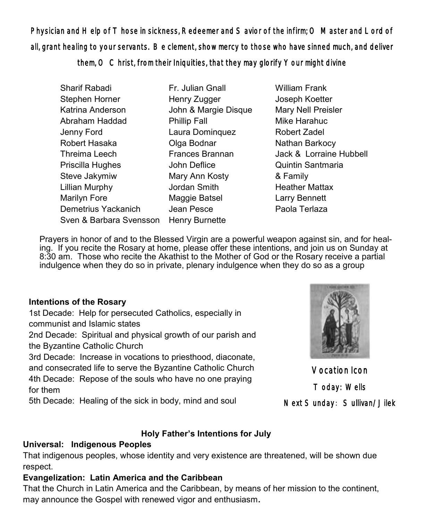Physician and Help of Those in sickness, Redeemer and Savior of the infirm; O Master and Lord of all, grant healing to your servants. Be clement, show mercy to those who have sinned much, and deliver

them, O Christ, from their Iniquities, that they may glorify Your might divine

- Sharif Rabadi Stephen Horner Katrina Anderson Abraham Haddad Jenny Ford Robert Hasaka Threima Leech Priscilla Hughes Steve Jakymiw Lillian Murphy Marilyn Fore Demetrius Yackanich Sven & Barbara Svensson Henry Burnette Fr. Julian Gnall Henry Zugger John & Margie Disque Phillip Fall Laura Dominquez Olga Bodnar Frances Brannan John Deflice Mary Ann Kosty Jordan Smith Maggie Batsel Jean Pesce
- William Frank Joseph Koetter Mary Nell Preisler Mike Harahuc Robert Zadel Nathan Barkocy Jack & Lorraine Hubbell Quintin Santmaria & Family Heather Mattax Larry Bennett Paola Terlaza

 Prayers in honor of and to the Blessed Virgin are a powerful weapon against sin, and for healing. If you recite the Rosary at home, please offer these intentions, and join us on Sunday at 8:30 am. Those who recite the Akathist to the Mother of God or the Rosary receive a partial indulgence when they do so in private, plenary indulgence when they do so as a group

### **Intentions of the Rosary**

1st Decade: Help for persecuted Catholics, especially in communist and Islamic states

2nd Decade: Spiritual and physical growth of our parish and the Byzantine Catholic Church

3rd Decade: Increase in vocations to priesthood, diaconate, and consecrated life to serve the Byzantine Catholic Church 4th Decade: Repose of the souls who have no one praying for them

5th Decade: Healing of the sick in body, mind and soul

# **Holy Father's Intentions for July**

# **Universal: Indigenous Peoples**

That indigenous peoples, whose identity and very existence are threatened, will be shown due respect.

# **Evangelization: Latin America and the Caribbean**

That the Church in Latin America and the Caribbean, by means of her mission to the continent, may announce the Gospel with renewed vigor and enthusiasm**.**



Vocation Icon Today: Wells Next Sunday: Sullivan/Jilek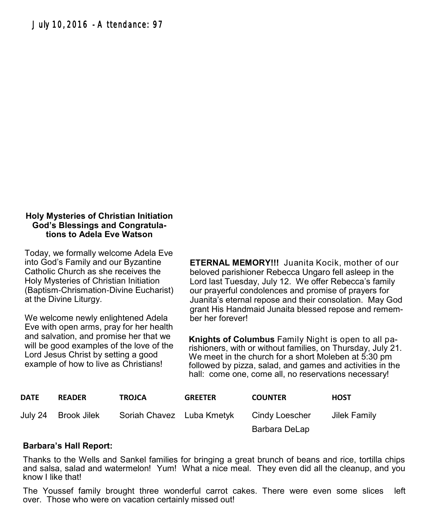#### **Holy Mysteries of Christian Initiation God's Blessings and Congratulations to Adela Eve Watson**

Today, we formally welcome Adela Eve into God's Family and our Byzantine Catholic Church as she receives the Holy Mysteries of Christian Initiation (Baptism-Chrismation-Divine Eucharist) at the Divine Liturgy.

We welcome newly enlightened Adela Eve with open arms, pray for her health and salvation, and promise her that we will be good examples of the love of the Lord Jesus Christ by setting a good example of how to live as Christians!

**ETERNAL MEMORY!!!** Juanita Kocik, mother of our beloved parishioner Rebecca Ungaro fell asleep in the Lord last Tuesday, July 12. We offer Rebecca's family our prayerful condolences and promise of prayers for Juanita's eternal repose and their consolation. May God grant His Handmaid Junaita blessed repose and remember her forever!

**Knights of Columbus** Family Night is open to all parishioners, with or without families, on Thursday, July 21. We meet in the church for a short Moleben at 5:30 pm followed by pizza, salad, and games and activities in the hall: come one, come all, no reservations necessary!

| <b>DATE</b> | <b>READER</b>       | <b>TROJCA</b>             | <b>GREETER</b> | <b>COUNTER</b> | <b>HOST</b>  |
|-------------|---------------------|---------------------------|----------------|----------------|--------------|
|             | July 24 Brook Jilek | Soriah Chavez Luba Kmetyk |                | Cindy Loescher | Jilek Family |
|             |                     |                           |                | Barbara DeLap  |              |

#### **Barbara's Hall Report:**

Thanks to the Wells and Sankel families for bringing a great brunch of beans and rice, tortilla chips and salsa, salad and watermelon! Yum! What a nice meal. They even did all the cleanup, and you know I like that!

The Youssef family brought three wonderful carrot cakes. There were even some slices left over. Those who were on vacation certainly missed out!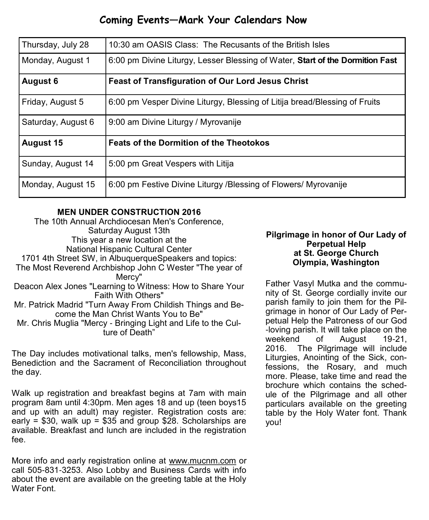# **Coming Events—Mark Your Calendars Now**

| Thursday, July 28  | 10:30 am OASIS Class: The Recusants of the British Isles                      |
|--------------------|-------------------------------------------------------------------------------|
| Monday, August 1   | 6:00 pm Divine Liturgy, Lesser Blessing of Water, Start of the Dormition Fast |
| <b>August 6</b>    | <b>Feast of Transfiguration of Our Lord Jesus Christ</b>                      |
| Friday, August 5   | 6:00 pm Vesper Divine Liturgy, Blessing of Litija bread/Blessing of Fruits    |
| Saturday, August 6 | 9:00 am Divine Liturgy / Myrovanije                                           |
| <b>August 15</b>   | <b>Feats of the Dormition of the Theotokos</b>                                |
| Sunday, August 14  | 5:00 pm Great Vespers with Litija                                             |
| Monday, August 15  | 6:00 pm Festive Divine Liturgy / Blessing of Flowers/ Myrovanije              |

#### **MEN UNDER CONSTRUCTION 2016**

The 10th Annual Archdiocesan Men's Conference, Saturday August 13th This year a new location at the National Hispanic Cultural Center 1701 4th Street SW, in AlbuquerqueSpeakers and topics: The Most Reverend Archbishop John C Wester "The year of Mercy" Deacon Alex Jones "Learning to Witness: How to Share Your Faith With Others" Mr. Patrick Madrid "Turn Away From Childish Things and Become the Man Christ Wants You to Be" Mr. Chris Muglia "Mercy - Bringing Light and Life to the Culture of Death"

The Day includes motivational talks, men's fellowship, Mass, Benediction and the Sacrament of Reconciliation throughout the day.

Walk up registration and breakfast begins at 7am with main program 8am until 4:30pm. Men ages 18 and up (teen boys15 and up with an adult) may register. Registration costs are: early =  $$30$ , walk up =  $$35$  and group  $$28$ . Scholarships are available. Breakfast and lunch are included in the registration fee.

More info and early registration online at [www.mucnm.com](http://www.mucnm.com) or call 505-831-3253. Also Lobby and Business Cards with info about the event are available on the greeting table at the Holy Water Font.

#### **Pilgrimage in honor of Our Lady of Perpetual Help at St. George Church Olympia, Washington**

Father Vasyl Mutka and the community of St. George cordially invite our parish family to join them for the Pilgrimage in honor of Our Lady of Perpetual Help the Patroness of our God -loving parish. It will take place on the weekend of August 19-21, 2016. The Pilgrimage will include Liturgies, Anointing of the Sick, confessions, the Rosary, and much more. Please, take time and read the brochure which contains the schedule of the Pilgrimage and all other particulars available on the greeting table by the Holy Water font. Thank you!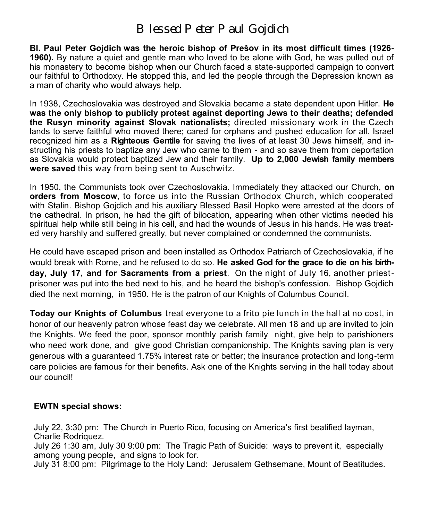# *Blessed Peter Paul Gojdich*

**Bl. Paul Peter Gojdich was the heroic bishop of Prešov in its most difficult times (1926- 1960).** By nature a quiet and gentle man who loved to be alone with God, he was pulled out of his monastery to become bishop when our Church faced a state-supported campaign to convert our faithful to Orthodoxy. He stopped this, and led the people through the Depression known as a man of charity who would always help.

In 1938, Czechoslovakia was destroyed and Slovakia became a state dependent upon Hitler. **He was the only bishop to publicly protest against deporting Jews to their deaths; defended the Rusyn minority against Slovak nationalists;** directed missionary work in the Czech lands to serve faithful who moved there; cared for orphans and pushed education for all. Israel recognized him as a **Righteous Gentile** for saving the lives of at least 30 Jews himself, and instructing his priests to baptize any Jew who came to them - and so save them from deportation as Slovakia would protect baptized Jew and their family. **Up to 2,000 Jewish family members were saved** this way from being sent to Auschwitz.

In 1950, the Communists took over Czechoslovakia. Immediately they attacked our Church, **on orders from Moscow**, to force us into the Russian Orthodox Church, which cooperated with Stalin. Bishop Gojdich and his auxiliary Blessed Basil Hopko were arrested at the doors of the cathedral. In prison, he had the gift of bilocation, appearing when other victims needed his spiritual help while still being in his cell, and had the wounds of Jesus in his hands. He was treated very harshly and suffered greatly, but never complained or condemned the communists.

He could have escaped prison and been installed as Orthodox Patriarch of Czechoslovakia, if he would break with Rome, and he refused to do so. **He asked God for the grace to die on his birthday, July 17, and for Sacraments from a priest**. On the night of July 16, another priestprisoner was put into the bed next to his, and he heard the bishop's confession. Bishop Gojdich died the next morning, in 1950. He is the patron of our Knights of Columbus Council.

**Today our Knights of Columbus** treat everyone to a frito pie lunch in the hall at no cost, in honor of our heavenly patron whose feast day we celebrate. All men 18 and up are invited to join the Knights. We feed the poor, sponsor monthly parish family night, give help to parishioners who need work done, and give good Christian companionship. The Knights saving plan is very generous with a guaranteed 1.75% interest rate or better; the insurance protection and long-term care policies are famous for their benefits. Ask one of the Knights serving in the hall today about our council!

#### **EWTN special shows:**

July 22, 3:30 pm: The Church in Puerto Rico, focusing on America's first beatified layman, Charlie Rodriquez.

July 26 1:30 am, July 30 9:00 pm: The Tragic Path of Suicide: ways to prevent it, especially among young people, and signs to look for.

July 31 8:00 pm: Pilgrimage to the Holy Land: Jerusalem Gethsemane, Mount of Beatitudes.